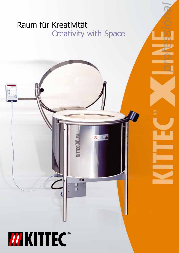# Raum für Kreativität Creativity with Space

 $\circ$   $\blacktriangle$ 

 $\bullet$ 

ň

 $\bf \Omega$ 

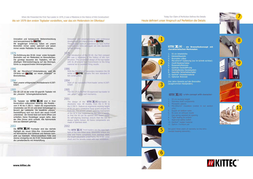#### Als wir 1979 den ersten Toplader vorstellten, war das ein Meilenstein im Ofenbau!

Innovation und konsequente Weiterentwicklung sind kennzeichnend für  $\mathbf{\mathcal{W}}$  KITTEC<sup>°</sup>.

Mit langjähriger Erfahrung haben wir unsere Brennöfen immer weiter optimiert und setzen immer wieder Maßstäbe für den Brennofenbau.

Der CB 125 ist der erste GS-geprüfe Toplader mit der "cleveren" Schwingdeckelmechanik.

Die Einführung des CB 60. Unser erster Kompakt-1979 Brennofen war ein Meilenstein im Brennofenbau. Die günstige bauweise des Topladers, mit der allseitigen Wärmeübertragung auf das Brenngut, führte zu ausgezeichneten Brennergebnissen.

Die Toplader der KITTEC<sup>®</sup> KLINE sind in ihrer Konstruktion vollkommen neuartig. Alle Modelle vom X 40 bis X 290 S - haben die ergonomische Arbeitshöhe von 93 cm und einen Schutzbügel im Bereich der Ladekante. Die bewährte "clevere" Deckelöffnung wird nun durch den neuen X-Griff unterstützt - der Deckel lässt sich leicht öffnen und schließen. Seine Pendellager sorgen dafür, dass der Ofen immer dicht schließt. Alle Rahmenteile sind aus Edelstahl gefertigt.

Mit der Microtherm®-Hinterisolierung wird die CB-Serie von **MIKITTEC**<sup>\*</sup> zur neuen "Referenz" im Brennofenbau.

Start unserer erfolgreichen Frontladerserie K130T-K450T.

Die KITTEC<sup>®</sup> XLINE Frontlader sind das nächste Highlight der neuen Kittec-Ära. Unverwechselbares Kennzeichen sind Gehäuse und Rahmen komplett aus Edelstahl. Höhenverstellbare Füße sind ebenso einzigartig wie die R-SIC Deckenplatte und die Lamellenbleche mit Hinterlüftung.

1979<br>The introduction of the CB 60. Our first compact kiln was a milestone in the history of kiln construction. The convenient design of the top-loader with its all-around heat transmission to the firing material led to excellent firing results.

The CB 125 is the first GS-approved top-loader to use "smart" swing roof mechanics.

The design of the **KITTEC**  $X$  LINE top-loader is absolutely new. All models, from the X 40 to the X 290 S - feature an ergonomic working height of 93 cm and a protective hoop guard around the front rim. The proven "smart" opening mechanism of the lid is now supported by the new X handle, so that the lid can be opened and closed easily. Its self-aligning bearings ensure that the kiln is always tightly locked. All frame components are made of stainless steel.

The **KITTEC** XLINE front-loaders are the next highlight of the new Kittec-area. Absolutely unique are case and frame completely from stainless steel, the height-adjustable underframe, the R-SIC cover sheet and the lamella metal with rear ventilation.

Innovation and uncompromising and continuous development are characteristic of **THEC**<sup>\*</sup>. Through long years of experience we have further optimized our kilns and again set new standards for kiln building.

- 93 cm Arbeitshöhe
- 2. Edelstahlbauteile
- 3. Brennofen rollbar
- 5. Zuluft-Bodenschieber
- Bypassabluftstutzen
- 7. Gasfeder-Deckelöffnung
- 8. Dichthaltendes Deckelsystem
- 9. Geprüfter Sicherheitsschalter 10. Kanthal®-Heizleitermaterial
- 11. Optional: Brennset

- 93 cm working height
- Stainless steel components
	- Moveable castors
	- only)
- Supply air bottom valve
- 6. By-pass air exhaust nozzle
- Gas-spring assisted lid opening
- Tight sealing lid system 9. Approved safety switch
- 10. Kanthal® heater material
- 11. Option: Furniture set

We grant three years of warranty on the kilns (except heating elements).

With the Microtherm® secondary insulation the CB series of  $\mathbf{W}$  **KITTEC**<sup>\*</sup> became the new standard in kiln construction.

Start of our successful front-loader series K130T-K450T.

#### 1986

#### 1994

#### 1995

### 2001

#### 2002

#### 1986

#### 1994

### 1995

### 2001

### 2002



## **charakteristischen Merkmalen:**

### 4. Microtherm®-Isolierung (nur im Schnitt sichtbar)

Microtherm<sup>®</sup> insulation (visible in cut section

Drei Jahre Garantie auf den Brennofen (ausgenommen Heizspiralen).

### **KITTEC<sup>°</sup> X**LINE- a kiln concept with character:



3

4

5













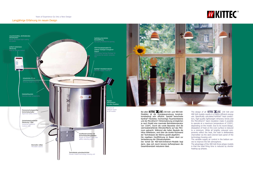Bei allen KITTEC<sup>®</sup> XLINE 230-Volt- und 400-Volt-Modellen ist die Energieausnutzung konstruktionsbedingt sehr effizient. Speziell berechnete Kanthal®-Heizleiter, hochwertige Feuerleichtsteine und die Microtherm®-Hinterisolierung ermöglichen je nach Modell eine maximale Betriebstemperatur von 1320°C. Durch die runde Bauweise wird die wärmeabstrahlende Ofenoberfläche auf das Minimum gebracht. Während alle hellen Bauteile die Hitze reflektieren, wird über die dunkle Rückwand der Techniksäule die Wärme gezielt abgeführt. Die regelbare Zuluftführung im Boden dient zur Verbesserung der Ofenatmosphäre. Der Vorteil der 400-Volt-Drehstrom-Modelle liegt darin, dass sich durch kürzere Aufheizphasen die





The design of all **KITTEC** XLINE 230 Volt and 400 Volt models results in a highly efficient energy use. Specifically calculated Kanthal® heat conductors, high-quality lightweight refractory bricks and the Microtherm® back insulation make it possible to operate at a maximum temperature of  $1320^{\circ}C$ , depending on the model. Due to its round design, dissipation of heat on the oven surface is reduced to a minimum. While all brightly coloured components reflect the heat, the heat is deliberately channelled via the dark-colored back panel of the technology-housing unit.

The variable supply air control in the bottom serves to improve the kiln atmosphere.

The advantage of the 400 Volt three-phase models is that the total firing time is reduced by shorter heating-up phases.

### Langjährige Erfahrung im neuen Design Years of Experience Go Into a New Design

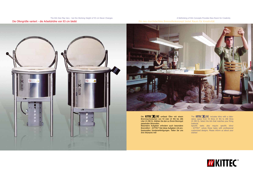Die Ofengröße variiert - die Arbeitshöhe von 93 cm bleibt The Kiln Size May Vary - but the Working Height of 93 cm Never Changes

### Ein neu durchdachtes Brennofenkonzept bietet Raum für Kreativität A Rethinking of Kiln Concepts Provides New Room for Creativity





Die **KITTEC** KLINE umfasst Öfen mit einem Brennraumvolumen von 43 Liter (X 40) bis 286 Liter (X 290 S). Wählen Sie den zu Ihrem Brenngut passenden Brennofen.

The  $KIIIEC$   $KINE$  includes kilns with a laboratory space from 43 litres (X 40) to 286 litres (X 290 S). Select the kiln that matches your firing material.

Besondere Aufgaben erfordern auch besondere Brennöfen! - KITTEC® löst diese Aufgaben mit professionellen Sonderanfertigungen. Teilen Sie uns Ihre Wünsche mit!

Specific tasks also require specific kilns! - KITTEC® solves these tasks with professional customized designs. Please inform us about your wishes!

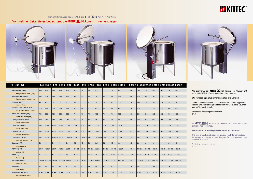Alle Brennöfen der **KITTEC ALINE** können auf Wunsch mit anderen BENTRUP®-Steuerungen kombiniert werden.

Von welcher Seite Sie es betrachten, die KITTEC<sup>®</sup> KLINE kommt Ihnen entgegen From Whichever Angle You Look At It, the **KITTEC** XLINE Will Meet Your Needs







| X - LINE - TYP              |             |                         |              |                | X40 X40 S X50 X50 S X60 X60 S X70 X70 S |                |              |               | <b>X80</b>         |                |                | X 80 S X 90 S X 110 S |               |                    |                |                |               |               | X 130 S X 160 S X 190 S X 210 S X 230 S X 260 S X 290 S |  |
|-----------------------------|-------------|-------------------------|--------------|----------------|-----------------------------------------|----------------|--------------|---------------|--------------------|----------------|----------------|-----------------------|---------------|--------------------|----------------|----------------|---------------|---------------|---------------------------------------------------------|--|
| Brennraum Ø (mm)            | 430         | $ 430\rangle$           | 430          | 430            | 430                                     | 430            | 430          | 430           | 510                | 510            | 510            | 510                   | 590           | 590                | 590            | 590            | 690           | 690           | 690                                                     |  |
| Firing chamber diam. (mm)   |             |                         |              |                |                                         |                |              |               |                    |                |                |                       |               |                    |                |                |               |               |                                                         |  |
| Brennraum Höhe (mm)         | 305         | 305                     | 380          | 380            | 460                                     | 460            | 535          | 535           | 380                | 380            | 460            | 535                   | 460           | 610                | 690            | 760            | 625           | 690           | 760                                                     |  |
| Firing chamber height (mm)  |             |                         |              |                |                                         |                |              |               |                    |                |                |                       |               |                    |                |                |               |               |                                                         |  |
| Volumen (Liter)             | 43          | $ 43\rangle$            | 55           | 55             | 66                                      | 66             | 77           | 77            | 78                 | 78             | 94             | 108                   | 128           | 166                | 189            | 208            | 234           | 257           | 285                                                     |  |
| Volume (litres)             |             |                         |              |                |                                         |                |              |               |                    |                |                |                       |               |                    |                |                |               |               |                                                         |  |
| Außen Ø ohne Rahmen (mm)    | 620         | $ 620\rangle$           | 620          | 620            | 620                                     | 620            | 620          | 620           | 690                | 690            | 690            | 690                   | 770           | 770                | 770            | 770            | 890           | 890           | 890                                                     |  |
| Ext. Ø without frame (mm))  |             |                         |              |                |                                         |                |              |               |                    |                |                |                       |               |                    |                |                |               |               |                                                         |  |
| Breite inkl. Rahmen (mm)    | 700         | $ 700\rangle$           | 700          | 700            | 700                                     | 700            | 700          | 700           | 780                | 780            | 780            | 780                   | 860           | 860                | 860            | 860            | 980           | 980           | 980                                                     |  |
| Width incl. frame (mm)      |             |                         |              |                |                                         |                |              |               |                    |                |                |                       |               |                    |                |                |               |               |                                                         |  |
| Tiefe geschlossen (mm)      | 780         | 780                     | 780          | 780            | 780                                     | 780            | 780          | 780           | 860                | 860            | 860            | 860                   | 940           | 940                | 940            | 940            | 1080          | 1080          | 1080                                                    |  |
| Depth closed (mm)           |             |                         |              |                |                                         |                |              |               |                    |                |                |                       |               |                    |                |                |               |               |                                                         |  |
| Tiefe geöffnet (mm)         | 1020        | 1020                    | 1020         | 1020           | 1020                                    | 1020           | 1020         | 1020          | 1100               | 1100           | 1100           | 1100                  | 1170          | 1170               | 1170           | 1170           | 1320          | 1320          | 1320                                                    |  |
| Depth open (mm)             |             |                         |              |                |                                         |                |              |               |                    |                |                |                       |               |                    |                |                |               |               |                                                         |  |
| Systemhöhe (mm)             | 1020        | 1020                    | 1020         | 1020           | 1020                                    | 1020           | 1020         | 1020          | 1020               | 1020           | 1020           | 1020                  | 1020          | 1020               | 1020           | 1020           | 1020          | 1020          | 1020                                                    |  |
| System height (mm)          |             |                         |              |                |                                         |                |              |               |                    |                |                |                       |               |                    |                |                |               |               |                                                         |  |
| Temperatur max. (°C)        | 1320        | 1320                    | 1280±30 1320 |                | 1250±30 1320                            |                | 1200±30 1320 |               | $1200 \pm 30$ 1320 |                | 1320           | 1320                  | 1320          | 1320               | 1320           | 1320           | 1320          | 1320          | 1320                                                    |  |
| Temperature max. (°C)       |             |                         |              |                |                                         |                |              |               |                    |                |                |                       |               |                    |                |                |               |               |                                                         |  |
| Leistung (kW)               | 3,6         | 4,4                     | 3,6          | 4,4            | 3,6                                     | 5,6            | 3,6          | 5,6           | 3,6                | 5,6            | 6,8            | 6,8                   | 8,2           | 11                 | 11             | 11             | 14            | 16            | 18                                                      |  |
| Capacity (kW)               |             |                         |              |                |                                         |                |              |               |                    |                |                |                       |               |                    |                |                |               |               |                                                         |  |
| Spannung (V)                |             | 230 N∼  400 2N∼  230 N∼ |              | 400 2N~        | 230 N~                                  | 400 2N~ 230 N~ |              | 400 2N~       | 230 N~             | 400 2N~        | 400 3N~        | 400 3N~               | 400 3N~       | 4003N <sub>o</sub> | 400 3N~        | 400 3N~        | 400 3N~       | 400 3N~       | 400 3N~                                                 |  |
| Voltage (V)                 |             |                         |              |                |                                         |                |              |               |                    |                |                |                       |               |                    |                |                |               |               |                                                         |  |
| Strom (A)                   | 16          | $2 \times 10$           | 16           | $2 \times 10$  | 16                                      | $2 \times 12$  | $ 16\rangle$ | $2 \times 12$ | 16                 | $2 \times 12$  | $3 \times 10$  | $3 \times 10$         | $3 \times 12$ | $3 \times 16$      | $3 \times 16$  | $3 \times 16$  | $3 \times 20$ | $3 \times 23$ | $3 \times 26$                                           |  |
| Current (A)                 |             |                         |              |                |                                         |                |              |               |                    |                |                |                       |               |                    |                |                |               |               |                                                         |  |
| Anschluss-Stecker           |             | Schuko CEE 16A Schuko   |              | CEE 16A Schuko |                                         | CEE 16A Schuko |              | CEE 16A       | Schuko             | <b>CEE 16A</b> | <b>CEE 16A</b> | <b>CEE 16A</b>        | CEE 16A       | CEE 16A            | <b>CEE 16A</b> | <b>CEE 16A</b> | CEE 32A       | CEE 32A       | CEE 32A                                                 |  |
| Connector plug              |             |                         |              |                |                                         |                |              |               |                    |                |                |                       |               |                    |                |                |               |               |                                                         |  |
| Gewicht (kg)                | 45          | 45                      | 55           | 55             | 60                                      | 60             | 70           | $ 70\rangle$  | 85                 | 85             | 90             | 100                   | 120           | 135                | 150            | 165            | 170           | 190           | 210                                                     |  |
| Weight (kg)                 |             |                         |              |                |                                         |                |              |               |                    |                |                |                       |               |                    |                |                |               |               |                                                         |  |
| <b>Empfohlene Steuerung</b> | <b>TC44</b> | TC44                    | <b>TC44</b>  | <b>TC44</b>    | <b>TC66</b>                             | <b>TC66</b>    | <b>TC66</b>  | <b>TC66</b>   | <b>TC66</b>        | <b>TC66</b>    | <b>TC66</b>    | <b>TC66</b>           | <b>TC505</b>  | <b>TC505</b>       | <b>TC505</b>   | <b>TC505</b>   | <b>TC505</b>  | <b>TC505</b>  | <b>TC505</b>                                            |  |
| Recommended control         |             |                         |              |                |                                         |                |              |               |                    |                |                |                       |               |                    |                |                |               |               |                                                         |  |





All **KITTEC**  $\triangle$  LINE kilns can be combined with other BENTRUP<sup>®</sup> controls, if so requested.

Subject to technical changes.  $5/12$ 

#### **Wir fertigen Spannungsvarianten für alle Länder!**

Die Brenöfen werden betriebsbereit und anschlussfertig geliefert. Technik und Ausstattung sind konzipiert für viele Jahre Dauereinsatz im Werkstattbetrieb.

Technische Änderungen vorbehalten. 5/12

#### **We manufacture voltage variants for all countries!**

The kilns are delivered ready for use and ready for connection. Technology and equipment are designed for many years of longterm use in studios.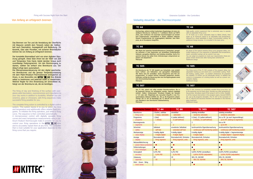### Von Anfang an erfolgreich brennen

Firing with Success Right from the Start

Das Brennen von Ton und die Veredelung der Oberfläche mit Glasuren verleiht dem Tonwerk neben der Haltbarkeit auch Faszination, Aussagekraft und Bedeutung. Ob Keramik, Glas oder Porzellan, mit sicheren Brennbläufen können Sie von Anfang an erfolgreich brennen.

Der komplette Brennablauf wird von einer digitalen Steuerung geregelt. Diese lässt Ihnen bei der Wahl von Zeit und Temperatur freie Hand, bietet darüber hinaus auch zuverlässige Festprogramme. Um den Brennvorgang zu starten, wählen Sie einfach eine Brennkurve aus. Der Ablauf erfogt dann automatisch.

Die Mikroprozessorsteuerung mit den digital speicherbaren Brennkurven und die genaue Temperaturmessung mit dem Platin-Rhodium-Thermoelement ermöglichen es Ihnen, in den Brennöfen der KITTEC<sup>®</sup> KLINE Ihre Brände selbst zu bestimmen und jederzeit exakt zu wiederholen. Welcher Regler für Ihre Anwendung am sinnvollsten ist, hängt von der Brennkurve ab, die sie benötigen.

The firing of clay and finishing of the surface with over glazes adds fascination, expressiveness and importance to your clay works in addition to durability. Whether you use ceramics, glass or chinaware, safe firing sequences make successful firing possible for you.

The complete firing action is controlled by a digital control system. This system leaves it to you to select the time and temperature and additionally offers reliable fixed pro grams. To initialise the firing operation, just select a firing curve. The sequence is then controlled automatically. A microprocessor control with digitally saveable firing curves and exact temperature measurements using a pla tinum-rhodium thermocouple make it possible for you to control your firing operations in the  $KITFC^*XLINE$  kilns and to accurately repeat them at any time. The controller that is most suitable for your application depends on the firing curve that you require.



**TC 44**

### **TC 44**







| Danach Programmende mit (ungeregeltem) Abkühlen. Kein Mehr-<br>preis, da im Grundpreis inbegriffen.                                        | Hochwertige, äußerst einfach bedienbare Regelanlage mit einer ein-<br>stellbaren Brennkurve: Aufheizen in 7 wählbaren Stufen auf 580°C<br>(fest), dann Aufheizen mit maximaler Geschwindigkeit auf einstell-<br>bare Endtemperatur. Anschließend in Stufen wählbare Haltezeit.                                                                |                                    |                                                                                                                                                                                                                                                                                                                                                                                                                                                                                  | High-quality control equipment that is extremely easy to operate<br>with an adjustable firing curve:<br>TC 44 heats up in seven selectable steps to 580oC (fixed), than<br>heats up at maximum speed to an adjustable final temperature,<br>followed by a dwell adjustable in steps, (uncontrolled) cooling. No<br>additional charge because it is included in the basic price. |                                    |               |  |  |  |  |
|--------------------------------------------------------------------------------------------------------------------------------------------|-----------------------------------------------------------------------------------------------------------------------------------------------------------------------------------------------------------------------------------------------------------------------------------------------------------------------------------------------|------------------------------------|----------------------------------------------------------------------------------------------------------------------------------------------------------------------------------------------------------------------------------------------------------------------------------------------------------------------------------------------------------------------------------------------------------------------------------------------------------------------------------|---------------------------------------------------------------------------------------------------------------------------------------------------------------------------------------------------------------------------------------------------------------------------------------------------------------------------------------------------------------------------------|------------------------------------|---------------|--|--|--|--|
| <b>TC 66</b>                                                                                                                               |                                                                                                                                                                                                                                                                                                                                               |                                    | <b>TC 66</b>                                                                                                                                                                                                                                                                                                                                                                                                                                                                     |                                                                                                                                                                                                                                                                                                                                                                                 |                                    |               |  |  |  |  |
| Haltezeit, geregeltes Abkühlen) sind beliebig einstellbar. Sechs Pro-<br>passen und abspeichern.<br><b>Mehrpreis</b>                       | Alle Werte der typischen Keramik-Brennkurve (Vorlaufzeit, geregel-<br>tes Aufheizen in zwei Segmenten auf einstellbare Endtemperatur,<br>gramme können Sie selbst Ihren Anforderungen entsprechend an-                                                                                                                                        |                                    |                                                                                                                                                                                                                                                                                                                                                                                                                                                                                  | All values of the typical ceramics firing curve (program delay, con-<br>trolled heating-up in two segments to adjustable final temperature,<br>dwell, controlled cooling) can be varied in any way.<br>You can adapt six programs to meet your requirements: these pro-<br>grams remain stored even after having been switched off.<br><b>Additional charge</b>                 |                                    |               |  |  |  |  |
| <b>TC 505</b>                                                                                                                              |                                                                                                                                                                                                                                                                                                                                               |                                    | <b>TC 505</b>                                                                                                                                                                                                                                                                                                                                                                                                                                                                    |                                                                                                                                                                                                                                                                                                                                                                                 |                                    |               |  |  |  |  |
| eine Stromverbrauchsanzeige.<br><b>Mehrpreis</b>                                                                                           | Die Brennkurve der TC 505 besteht aus Vorlaufzeit, zwei einstell-<br>baren Aufheiz- und Haltezeiten und (geregelter) Abkühlphase.<br>Alle Werte sind frei einstellbar. Sechs Programme sind fest ein-<br>programmiert, 23 weitere können individuell gespeichert werden.<br>Außerdem verfügt die Steuerung über eine Verriegelungstaste sowie |                                    | The firing curve of the TC 505 consists of the program delay, two<br>adjustable heating-up and dwell and a (controlled) cooling. Multi-<br>ple heating, cooling, dwell - no problem whatsoever. Six programs<br>are installed, 23 further can be individually stored. In addition the<br>control is in possession of a locking button as well as a power con-<br>sumption display.<br><b>Additional charge</b>                                                                   |                                                                                                                                                                                                                                                                                                                                                                                 |                                    |               |  |  |  |  |
| in °C/h oder Zeit. Möglichkeit des manuellen Eingriffs in den Pro-<br>zum Standard in der thermischen Glasbearbeitung.<br><b>Mehrpreis</b> | Wie TC 505, jedoch mit völlig variabler Brennkurvenform. Bis zu<br>99 Segmente können frei eingegeben werden, dadurch beliebige<br>Aufheiz- /Halte-/ Kühlprozesse. Simultane Eingabe der Rampen<br>grammablauf. Mehrere EVENTs etc. Bis zu 99 Programme abspei-<br>cherbar. Die TC 507 ist Nachfolger der TC 405/30 und wird somit            |                                    | Like TC 505, however, by completely variable firing curve form. Up<br>to 99 segments can be freely given, thereby any heat up/dwell/coo-<br>ling process. Simultane input of the ramps in oC/h or time. Possibili-<br>ty of the manual intervention in the program expiry. Several EVENTs<br>etc. Up to 99 programs storeable. The TC 507 is the successor of<br>the TC 405/30 and becomes therefore the standard in the thermal<br>glass treatment.<br><b>Additional charge</b> |                                                                                                                                                                                                                                                                                                                                                                                 |                                    |               |  |  |  |  |
| <b>Technische Daten</b>                                                                                                                    | <b>TC 44</b>                                                                                                                                                                                                                                                                                                                                  | <b>TC 66</b>                       |                                                                                                                                                                                                                                                                                                                                                                                                                                                                                  | <b>TC 505</b>                                                                                                                                                                                                                                                                                                                                                                   |                                    | <b>TC 507</b> |  |  |  |  |
| <b>Brennkurve</b>                                                                                                                          | 3 Stufen, wählbar                                                                                                                                                                                                                                                                                                                             | einstellbar                        |                                                                                                                                                                                                                                                                                                                                                                                                                                                                                  | beliebig einstellbar                                                                                                                                                                                                                                                                                                                                                            | beliebig einstellbar               |               |  |  |  |  |
| firing curve                                                                                                                               | 3 steps, selectable                                                                                                                                                                                                                                                                                                                           | selectable                         |                                                                                                                                                                                                                                                                                                                                                                                                                                                                                  | randomly selectable                                                                                                                                                                                                                                                                                                                                                             | randomly selectable                |               |  |  |  |  |
| Programme                                                                                                                                  | $1$ (fest)                                                                                                                                                                                                                                                                                                                                    | 6 (selbst definiert)               |                                                                                                                                                                                                                                                                                                                                                                                                                                                                                  | 6 (fest), 23 (selbst definiert)                                                                                                                                                                                                                                                                                                                                                 | biz zu 99 (je nach Segmentlänge)   |               |  |  |  |  |
| programs                                                                                                                                   | 1 (fixed)                                                                                                                                                                                                                                                                                                                                     | 6 (self-defined)                   |                                                                                                                                                                                                                                                                                                                                                                                                                                                                                  | 6 (fixed), 23 (self-defined)                                                                                                                                                                                                                                                                                                                                                    | up to 99 (belong to segments)      |               |  |  |  |  |
| <b>Brennsegmente</b>                                                                                                                       | 1                                                                                                                                                                                                                                                                                                                                             | 2                                  |                                                                                                                                                                                                                                                                                                                                                                                                                                                                                  | 2                                                                                                                                                                                                                                                                                                                                                                               | bis zu 99                          |               |  |  |  |  |
| segments                                                                                                                                   |                                                                                                                                                                                                                                                                                                                                               |                                    |                                                                                                                                                                                                                                                                                                                                                                                                                                                                                  | ີ ເ                                                                                                                                                                                                                                                                                                                                                                             | up to 99                           |               |  |  |  |  |
| Sicherheit                                                                                                                                 | Selbstest                                                                                                                                                                                                                                                                                                                                     | erweiterter Selbsttest             |                                                                                                                                                                                                                                                                                                                                                                                                                                                                                  | kontinuierliche Eigenüberwachung                                                                                                                                                                                                                                                                                                                                                | kontinuierliche Eigenüberwachung   |               |  |  |  |  |
| safety                                                                                                                                     | self test                                                                                                                                                                                                                                                                                                                                     | extended self test                 |                                                                                                                                                                                                                                                                                                                                                                                                                                                                                  | continuous self-monitoring system                                                                                                                                                                                                                                                                                                                                               | continuous self-monitoring system  |               |  |  |  |  |
| Werteanzeige                                                                                                                               | 4-stellig digital                                                                                                                                                                                                                                                                                                                             | 4-stellig digital                  |                                                                                                                                                                                                                                                                                                                                                                                                                                                                                  | 6-stellig digital                                                                                                                                                                                                                                                                                                                                                               | 6-stellig digital + Segmentanzeige |               |  |  |  |  |
| value display                                                                                                                              | 4-digits digital                                                                                                                                                                                                                                                                                                                              | 4-digits digital                   |                                                                                                                                                                                                                                                                                                                                                                                                                                                                                  | 6-digits digital                                                                                                                                                                                                                                                                                                                                                                | 6-digits digital + segment display |               |  |  |  |  |
| Anzeige                                                                                                                                    | Brennabschnitt                                                                                                                                                                                                                                                                                                                                | Brennabschnitt, Einheiten          |                                                                                                                                                                                                                                                                                                                                                                                                                                                                                  | Brennabschnitt, Einheiten                                                                                                                                                                                                                                                                                                                                                       | Brennabschnitt, Einheiten          |               |  |  |  |  |
| display                                                                                                                                    | firing segment                                                                                                                                                                                                                                                                                                                                | firing segment, units              |                                                                                                                                                                                                                                                                                                                                                                                                                                                                                  | firing segment, units                                                                                                                                                                                                                                                                                                                                                           | firing segment, units              |               |  |  |  |  |
| Netzausfallsicherung                                                                                                                       | $\bullet$                                                                                                                                                                                                                                                                                                                                     | $\bullet$                          |                                                                                                                                                                                                                                                                                                                                                                                                                                                                                  |                                                                                                                                                                                                                                                                                                                                                                                 | $\bullet$                          |               |  |  |  |  |
| power failure protection                                                                                                                   | $\bullet$                                                                                                                                                                                                                                                                                                                                     | $\bullet$                          |                                                                                                                                                                                                                                                                                                                                                                                                                                                                                  | $\bullet$                                                                                                                                                                                                                                                                                                                                                                       |                                    |               |  |  |  |  |
| Fehlermeldungen                                                                                                                            | $\bullet$                                                                                                                                                                                                                                                                                                                                     |                                    |                                                                                                                                                                                                                                                                                                                                                                                                                                                                                  |                                                                                                                                                                                                                                                                                                                                                                                 |                                    |               |  |  |  |  |
| error messages                                                                                                                             |                                                                                                                                                                                                                                                                                                                                               |                                    |                                                                                                                                                                                                                                                                                                                                                                                                                                                                                  |                                                                                                                                                                                                                                                                                                                                                                                 |                                    |               |  |  |  |  |
| Genauigkeit                                                                                                                                | 0,4% PID                                                                                                                                                                                                                                                                                                                                      | 0,2% PID                           |                                                                                                                                                                                                                                                                                                                                                                                                                                                                                  | 0,05% PI/PID (einstellbar)                                                                                                                                                                                                                                                                                                                                                      | 0,05% PI/PID (einstellbar)         |               |  |  |  |  |
| accuracy                                                                                                                                   | 0,4% PID                                                                                                                                                                                                                                                                                                                                      | 0,2% PID                           |                                                                                                                                                                                                                                                                                                                                                                                                                                                                                  | 0,05% PI/PID (adjustable)                                                                                                                                                                                                                                                                                                                                                       | 0,05% PI/PID (adjustable)          |               |  |  |  |  |
| Zulassung                                                                                                                                  | CE                                                                                                                                                                                                                                                                                                                                            | CE<br>$\mathsf{CE}\hspace{0.02cm}$ |                                                                                                                                                                                                                                                                                                                                                                                                                                                                                  | SEV, CE, GS/VDE                                                                                                                                                                                                                                                                                                                                                                 | SEV, CE, GS/VDE                    |               |  |  |  |  |
| approval                                                                                                                                   | $\mathsf{CE}\hspace{0.02cm}$                                                                                                                                                                                                                                                                                                                  |                                    |                                                                                                                                                                                                                                                                                                                                                                                                                                                                                  | SEV, CE, GS/VDE                                                                                                                                                                                                                                                                                                                                                                 | SEV, CE, GS/VDE                    |               |  |  |  |  |
| Mehr - Zonen - fähig                                                                                                                       |                                                                                                                                                                                                                                                                                                                                               |                                    |                                                                                                                                                                                                                                                                                                                                                                                                                                                                                  |                                                                                                                                                                                                                                                                                                                                                                                 |                                    |               |  |  |  |  |
| more zones                                                                                                                                 |                                                                                                                                                                                                                                                                                                                                               |                                    |                                                                                                                                                                                                                                                                                                                                                                                                                                                                                  |                                                                                                                                                                                                                                                                                                                                                                                 |                                    |               |  |  |  |  |

#### Vielseitig steuerbar - die Thermocomputer

#### Extensive Guidable - the Controllers